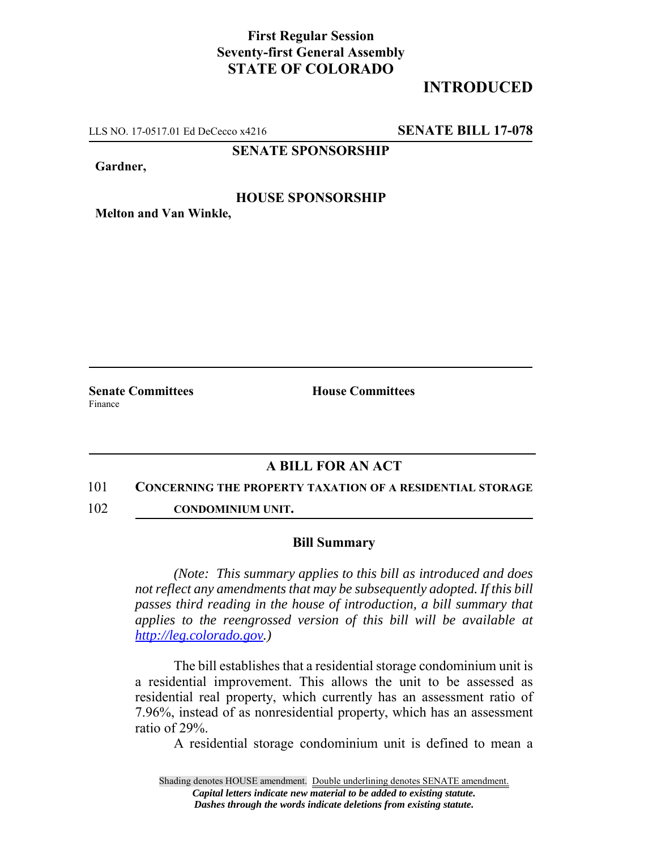## **First Regular Session Seventy-first General Assembly STATE OF COLORADO**

# **INTRODUCED**

LLS NO. 17-0517.01 Ed DeCecco x4216 **SENATE BILL 17-078**

### **SENATE SPONSORSHIP**

**Gardner,**

### **HOUSE SPONSORSHIP**

**Melton and Van Winkle,**

Finance

**Senate Committees House Committees** 

### **A BILL FOR AN ACT**

#### 101 **CONCERNING THE PROPERTY TAXATION OF A RESIDENTIAL STORAGE**

102 **CONDOMINIUM UNIT.**

#### **Bill Summary**

*(Note: This summary applies to this bill as introduced and does not reflect any amendments that may be subsequently adopted. If this bill passes third reading in the house of introduction, a bill summary that applies to the reengrossed version of this bill will be available at http://leg.colorado.gov.)*

The bill establishes that a residential storage condominium unit is a residential improvement. This allows the unit to be assessed as residential real property, which currently has an assessment ratio of 7.96%, instead of as nonresidential property, which has an assessment ratio of 29%.

A residential storage condominium unit is defined to mean a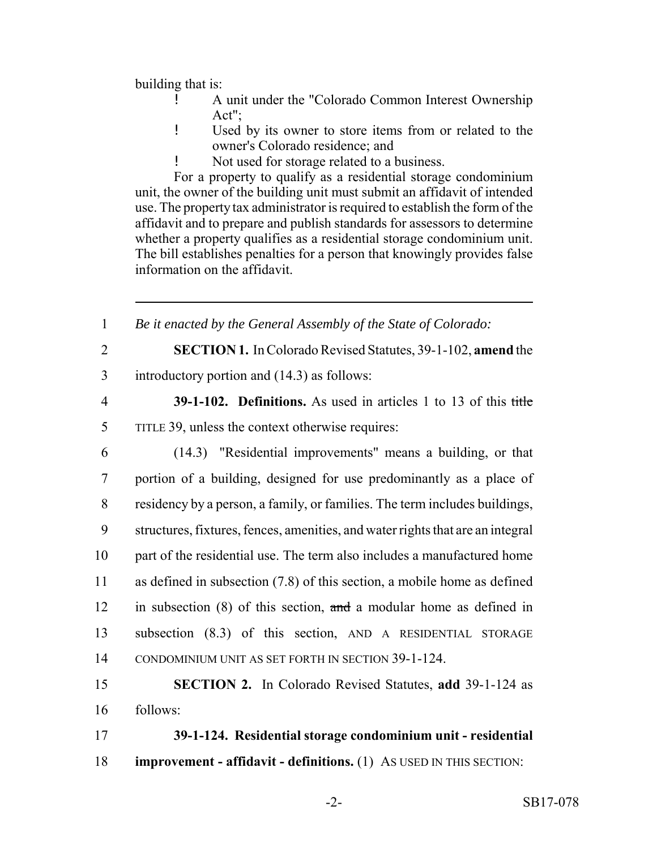building that is:

- ! A unit under the "Colorado Common Interest Ownership Act";
- ! Used by its owner to store items from or related to the owner's Colorado residence; and
- Not used for storage related to a business.

For a property to qualify as a residential storage condominium unit, the owner of the building unit must submit an affidavit of intended use. The property tax administrator is required to establish the form of the affidavit and to prepare and publish standards for assessors to determine whether a property qualifies as a residential storage condominium unit. The bill establishes penalties for a person that knowingly provides false information on the affidavit.

 *Be it enacted by the General Assembly of the State of Colorado:* **SECTION 1.** In Colorado Revised Statutes, 39-1-102, **amend** the introductory portion and (14.3) as follows: **39-1-102. Definitions.** As used in articles 1 to 13 of this title TITLE 39, unless the context otherwise requires: (14.3) "Residential improvements" means a building, or that portion of a building, designed for use predominantly as a place of residency by a person, a family, or families. The term includes buildings, structures, fixtures, fences, amenities, and water rights that are an integral part of the residential use. The term also includes a manufactured home as defined in subsection (7.8) of this section, a mobile home as defined in subsection (8) of this section, and a modular home as defined in subsection (8.3) of this section, AND A RESIDENTIAL STORAGE CONDOMINIUM UNIT AS SET FORTH IN SECTION 39-1-124. **SECTION 2.** In Colorado Revised Statutes, **add** 39-1-124 as 16 follows: **39-1-124. Residential storage condominium unit - residential improvement - affidavit - definitions.** (1) AS USED IN THIS SECTION: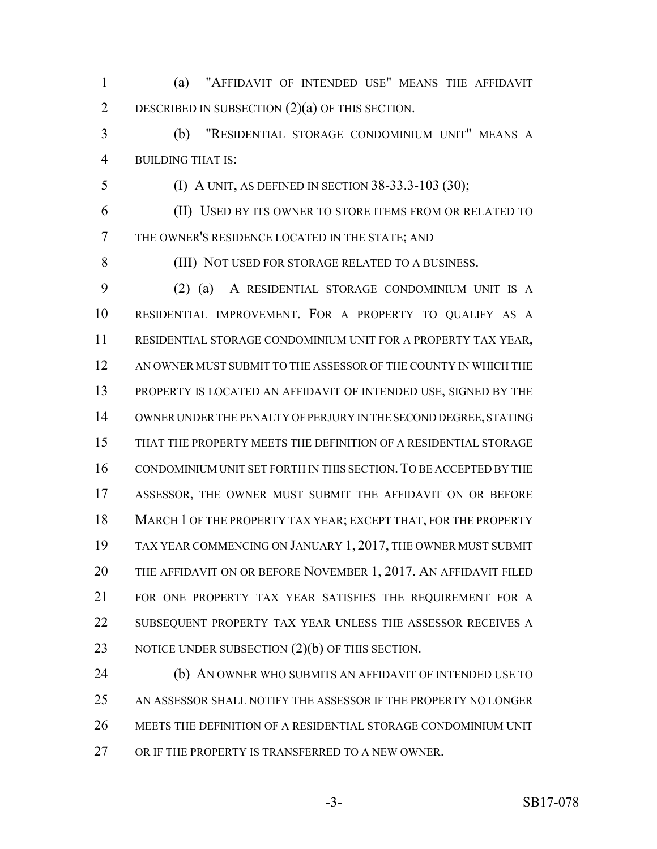(a) "AFFIDAVIT OF INTENDED USE" MEANS THE AFFIDAVIT DESCRIBED IN SUBSECTION (2)(a) OF THIS SECTION.

 (b) "RESIDENTIAL STORAGE CONDOMINIUM UNIT" MEANS A BUILDING THAT IS:

(I) A UNIT, AS DEFINED IN SECTION 38-33.3-103 (30);

 (II) USED BY ITS OWNER TO STORE ITEMS FROM OR RELATED TO THE OWNER'S RESIDENCE LOCATED IN THE STATE; AND

(III) NOT USED FOR STORAGE RELATED TO A BUSINESS.

 (2) (a) A RESIDENTIAL STORAGE CONDOMINIUM UNIT IS A RESIDENTIAL IMPROVEMENT. FOR A PROPERTY TO QUALIFY AS A RESIDENTIAL STORAGE CONDOMINIUM UNIT FOR A PROPERTY TAX YEAR, AN OWNER MUST SUBMIT TO THE ASSESSOR OF THE COUNTY IN WHICH THE 13 PROPERTY IS LOCATED AN AFFIDAVIT OF INTENDED USE, SIGNED BY THE OWNER UNDER THE PENALTY OF PERJURY IN THE SECOND DEGREE, STATING THAT THE PROPERTY MEETS THE DEFINITION OF A RESIDENTIAL STORAGE CONDOMINIUM UNIT SET FORTH IN THIS SECTION.TO BE ACCEPTED BY THE ASSESSOR, THE OWNER MUST SUBMIT THE AFFIDAVIT ON OR BEFORE MARCH 1 OF THE PROPERTY TAX YEAR; EXCEPT THAT, FOR THE PROPERTY TAX YEAR COMMENCING ON JANUARY 1, 2017, THE OWNER MUST SUBMIT 20 THE AFFIDAVIT ON OR BEFORE NOVEMBER 1, 2017. AN AFFIDAVIT FILED FOR ONE PROPERTY TAX YEAR SATISFIES THE REQUIREMENT FOR A SUBSEQUENT PROPERTY TAX YEAR UNLESS THE ASSESSOR RECEIVES A 23 NOTICE UNDER SUBSECTION  $(2)(b)$  OF THIS SECTION.

 (b) AN OWNER WHO SUBMITS AN AFFIDAVIT OF INTENDED USE TO AN ASSESSOR SHALL NOTIFY THE ASSESSOR IF THE PROPERTY NO LONGER MEETS THE DEFINITION OF A RESIDENTIAL STORAGE CONDOMINIUM UNIT OR IF THE PROPERTY IS TRANSFERRED TO A NEW OWNER.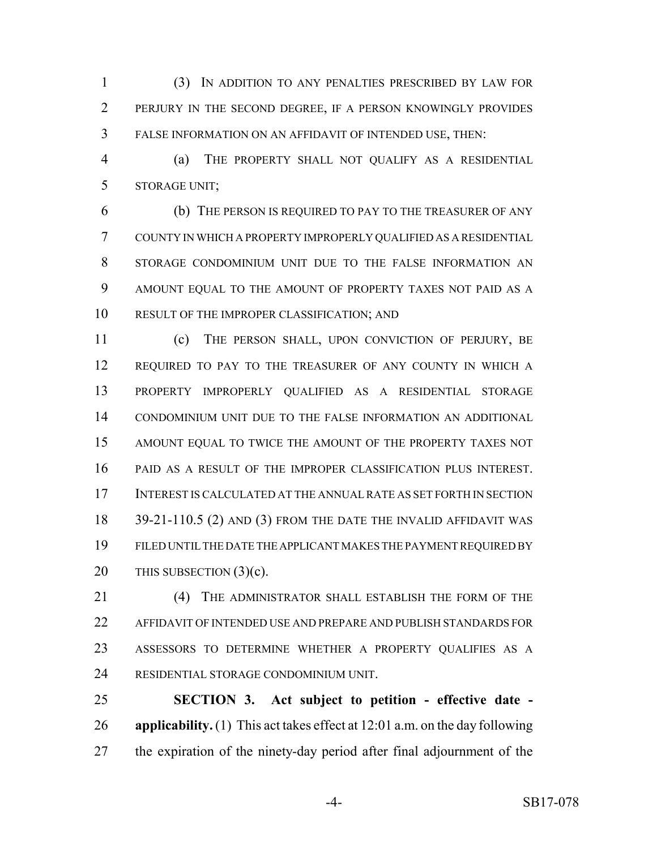(3) IN ADDITION TO ANY PENALTIES PRESCRIBED BY LAW FOR PERJURY IN THE SECOND DEGREE, IF A PERSON KNOWINGLY PROVIDES FALSE INFORMATION ON AN AFFIDAVIT OF INTENDED USE, THEN:

 (a) THE PROPERTY SHALL NOT QUALIFY AS A RESIDENTIAL STORAGE UNIT;

 (b) THE PERSON IS REQUIRED TO PAY TO THE TREASURER OF ANY COUNTY IN WHICH A PROPERTY IMPROPERLY QUALIFIED AS A RESIDENTIAL STORAGE CONDOMINIUM UNIT DUE TO THE FALSE INFORMATION AN AMOUNT EQUAL TO THE AMOUNT OF PROPERTY TAXES NOT PAID AS A RESULT OF THE IMPROPER CLASSIFICATION; AND

 (c) THE PERSON SHALL, UPON CONVICTION OF PERJURY, BE REQUIRED TO PAY TO THE TREASURER OF ANY COUNTY IN WHICH A PROPERTY IMPROPERLY QUALIFIED AS A RESIDENTIAL STORAGE CONDOMINIUM UNIT DUE TO THE FALSE INFORMATION AN ADDITIONAL AMOUNT EQUAL TO TWICE THE AMOUNT OF THE PROPERTY TAXES NOT PAID AS A RESULT OF THE IMPROPER CLASSIFICATION PLUS INTEREST. INTEREST IS CALCULATED AT THE ANNUAL RATE AS SET FORTH IN SECTION 18 39-21-110.5 (2) AND (3) FROM THE DATE THE INVALID AFFIDAVIT WAS FILED UNTIL THE DATE THE APPLICANT MAKES THE PAYMENT REQUIRED BY 20 THIS SUBSECTION (3)(c).

21 (4) THE ADMINISTRATOR SHALL ESTABLISH THE FORM OF THE AFFIDAVIT OF INTENDED USE AND PREPARE AND PUBLISH STANDARDS FOR ASSESSORS TO DETERMINE WHETHER A PROPERTY QUALIFIES AS A RESIDENTIAL STORAGE CONDOMINIUM UNIT.

 **SECTION 3. Act subject to petition - effective date - applicability.** (1) This act takes effect at 12:01 a.m. on the day following the expiration of the ninety-day period after final adjournment of the